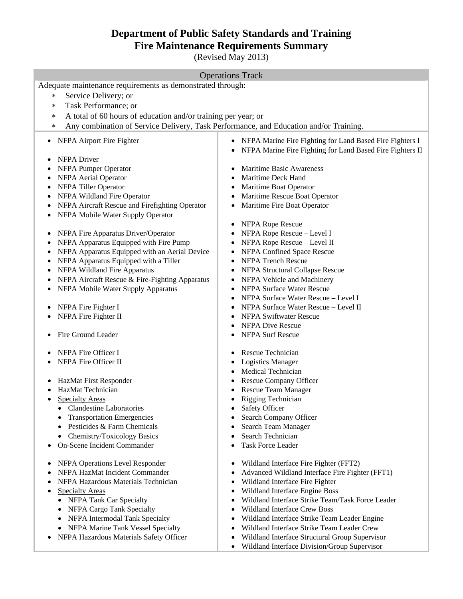# **Department of Public Safety Standards and Training Fire Maintenance Requirements Summary**

(Revised May 2013)

#### Operations Track

Adequate maintenance requirements as demonstrated through:

- Service Delivery; or
- Task Performance; or
- A total of 60 hours of education and/or training per year; or
- Any combination of Service Delivery, Task Performance, and Education and/or Training.
- 
- NFPA Driver
- 
- NFPA Aerial Operator **Maritime Deck Hand**
- 
- 
- NFPA Aircraft Rescue and Firefighting Operator Maritime Fire Boat Operator
- NFPA Mobile Water Supply Operator
- NFPA Fire Apparatus Driver/Operator NFPA Rope Rescue Level I
- NFPA Apparatus Equipped with Fire Pump NFPA Rope Rescue Level II
- NFPA Apparatus Equipped with an Aerial Device NFPA Confined Space Rescue
- NFPA Apparatus Equipped with a Tiller NFPA Trench Rescue
- 
- NFPA Aircraft Rescue & Fire-Fighting Apparatus NFPA Vehicle and Machinery
- NFPA Mobile Water Supply Apparatus NFPA Surface Water Rescue
- 
- 
- Fire Ground Leader **Internal Secure 1 •** NFPA Surf Rescue
- NFPA Fire Officer I Rescue Technician
- NFPA Fire Officer II Logistics Manager
- 
- 
- - Clandestine Laboratories <br>
	Safety Officer
	-
	- Pesticides & Farm Chemicals Search Team Manager
	- Chemistry/Toxicology Basics <br>
	Search Technician
- On-Scene Incident Commander 
<br>
 Task Force Leader
- 
- 
- NFPA Hazardous Materials Technician Wildland Interface Fire Fighter
- -
	- NFPA Cargo Tank Specialty **Cargo Tank Specialty Wildland Interface Crew Boss**
	-
	-
- 
- NFPA Airport Fire Fighter **III CONTACT ACT CONTACT A** NEPA Marine Fire Fighting for Land Based Fire Fighters I
	- NFPA Marine Fire Fighting for Land Based Fire Fighters II
- NFPA Pumper Operator Maritime Basic Awareness
	-
- NFPA Tiller Operator **Maritime Boat Operator Maritime Boat Operator**
- NFPA Wildland Fire Operator **Maritime Rescue Boat Operator Maritime Rescue Boat Operator** 
	-
	- NFPA Rope Rescue
	-
	-
	-
	-
- NFPA Wildland Fire Apparatus **Intervention Collapse Rescue** 
	-
	-
	- NFPA Surface Water Rescue Level I
- NFPA Fire Fighter I NFPA Surface Water Rescue Level II
- NFPA Fire Fighter II NFPA Swiftwater Rescue
	- NFPA Dive Rescue
	-
	-
	-
	- Medical Technician
- HazMat First Responder **and Servers Respondent Company Officer Company Officer**
- HazMat Technician **Research Strategier Strategier Accept** Person Rescue Team Manager
	- Specialty Areas **Rigging Technician** 
		-
	- Transportation Emergencies Search Company Officer
		-
		-
		-
- NFPA Operations Level Responder Wildland Interface Fire Fighter (FFT2)
- NFPA HazMat Incident Commander Advanced Wildland Interface Fire Fighter (FFT1)
	-
	- Specialty Areas **Specialty Areas Wildland Interface Engine Boss**
	- NFPA Tank Car Specialty **and Strike Team and Strike Team Task Force Leader Wildland Interface Strike Team/Task Force Leader** 
		-
	- NFPA Intermodal Tank Specialty **•** Wildland Interface Strike Team Leader Engine
	- NFPA Marine Tank Vessel Specialty Wildland Interface Strike Team Leader Crew
- NFPA Hazardous Materials Safety Officer Vildland Interface Structural Group Supervisor
	- Wildland Interface Division/Group Supervisor